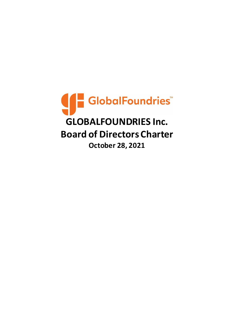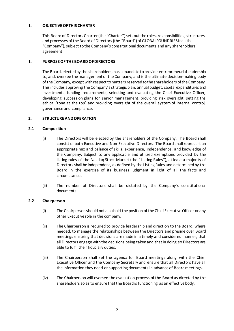## **1. OBJECTIVE OF THIS CHARTER**

This Board of Directors Charter (the "Charter") sets out the roles, responsibilities, structures, and processes of the Board of Directors (the "Board")of GLOBALFOUNDRIES Inc. (the "Company"), subject to the Company's constitutional documents and any shareholders' agreement.

# **1. PURPOSE OF THE BOARD OF DIRECTORS**

The Board, elected by the shareholders, has a mandate to provide entrepreneurial leadership to, and, oversee the management of the Company, and is the ultimate decision-making body of the Company, except with respect to matters reserved to the shareholders of the Company. This includes approving the Company's strategic plan, annual budget, capital expenditures and investments, funding requirements, selecting and evaluating the Chief Executive Officer, developing succession plans for senior management, providing risk oversight, setting the ethical 'tone at the top' and providing oversight of the overall system of internal control, governance and compliance.

# **2. STRUCTURE AND OPERATION**

## **2.1 Composition**

- (i) The Directors will be elected by the shareholders of the Company. The Board shall consist of both Executive and Non-Executive Directors. The Board shall represent an appropriate mix and balance of skills, experience, independence, and knowledge of the Company. Subject to any applicable and utilized exemptions provided by the listing rules of the Nasdaq Stock Market (the "Listing Rules"), at least a majority of Directors shall be independent, as defined by the Listing Rules and determined by the Board in the exercise of its business judgment in light of all the facts and circumstances.
- (ii) The number of Directors shall be dictated by the Company's constitutional documents.

## **2.2 Chairperson**

- (i) The Chairperson should not also hold the position of the Chief Executive Officer or any other Executive role in the company.
- (ii) The Chairperson is required to provide leadership and direction to the Board, where needed, to manage the relationships between the Directors and preside over Board meetings ensuring that decisions are made in a timely and considered manner, that all Directors engage with the decisions being taken and that in doing so Directors are able to fulfil their fiduciary duties.
- (iii) The Chairperson shall set the agenda for Board meetings along with the Chief Executive Officer and the Company Secretary and ensure that all Directors have all the information they need or supporting documents in advance of Board meetings.
- (iv) The Chairperson will oversee the evaluation process of the Board as directed by the shareholders so as to ensure that the Board is functioning as an effective body.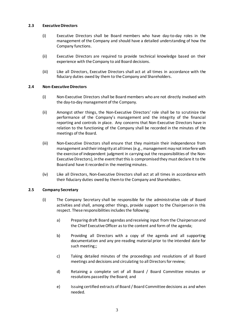### **2.3 Executive Directors**

- (i) Executive Directors shall be Board members who have day-to-day roles in the management of the Company and should have a detailed understanding of how the Company functions.
- (ii) Executive Directors are required to provide technical knowledge based on their experience with the Company to aid Board decisions.
- (iii) Like all Directors, Executive Directors shall act at all times in accordance with the fiduciary duties owed by them to the Company and Shareholders.

### **2.4 Non-Executive Directors**

- (i) Non-Executive Directors shall be Board members who are not directly involved with the day-to-day management of the Company.
- (ii) Amongst other things, the Non-Executive Directors' role shall be to scrutinize the performance of the Company's management and the integrity of the financial reporting and controls in place. Any concerns that Non-Executive Directors have in relation to the functioning of the Company shall be recorded in the minutes of the meetings of the Board.
- (iii) Non-Executive Directors shall ensure that they maintain their independence from management and their integrity at all times (e.g., management may not interfere with the exercise of independent judgment in carrying out the responsibilities of the Non-Executive Directors), in the event that this is compromised they must declare it to the Board and have it recorded in the meeting minutes.
- (iv) Like all Directors, Non-Executive Directors shall act at all times in accordance with their fiduciary duties owed by them to the Company and Shareholders.

## **2.5 Company Secretary**

- (i) The Company Secretary shall be responsible for the administrative side of Board activities and shall, among other things, provide support to the Chairperson in this respect. These responsibilities includes the following:
	- a) Preparing draft Board agendas and receiving input from the Chairperson and the Chief Executive Officer as to the content and form of the agenda;
	- b) Providing all Directors with a copy of the agenda and all supporting documentation and any pre-reading material prior to the intended date for such meeting;;
	- c) Taking detailed minutes of the proceedings and resolutions of all Board meetings and decisions and circulating to all Directors for review;
	- d) Retaining a complete set of all Board / Board Committee minutes or resolutions passed by the Board; and
	- e) Issuing certified extracts of Board / Board Committee decisions as and when needed.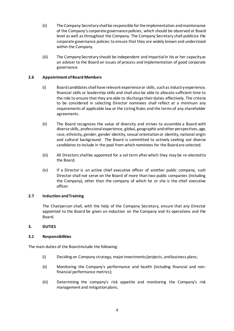- (ii) The Company Secretary shall be responsible for the implementation and maintenance of the Company's corporate governance policies, which should be observed at Board level as well as throughout the Company. The Company Secretary shall publicize the corporate governance policies to ensure that they are widely known and understood within the Company.
- (iii) The Company Secretary should be independent and impartial in his or her capacity as an adviser to the Board on issues of process and implementation of good corporate governance.

## **2.6 Appointment of Board Members**

- (i) Board candidates shall have relevant experience or skills, such as industry experience, financial skills or leadership skills and shall also be able to allocate sufficient time to the role to ensure that they are able to discharge their duties effectively. The criteria to be considered in selecting Director nominees shall reflect at a minimum any requirements of applicable law or the Listing Rules and the terms of any shareholder agreements.
- (ii) The Board recognizes the value of diversity and strives to assemble a Board with diverse skills, professional experience, global, geographic and other perspectives, age, race, ethnicity, gender, gender identity, sexual orientation or identity, national origin and cultural background. The Board is committed to actively seeking out diverse candidates to include in the pool from which nominees for the Board are selected.
- (iii) All Directors shall be appointed for a set term after which they may be re-elected to the Board.
- (iv) If a Director is an active chief executive officer of another public company, such Director shall not serve on the Board of more than two public companies (including the Company), other than the company of which he or she is the chief executive officer.

#### **2.7 Induction and Training**

The Chairperson shall, with the help of the Company Secretary, ensure that any Director appointed to the Board be given an induction on the Company and its operations and the Board.

#### **3. DUTIES**

#### **3.1 Responsibilities**

The main duties of the Board include the following:

- (i) Deciding on Company strategy, major investments/projects, and business plans;
- (ii) Monitoring the Company's performance and health (including financial and nonfinancial performance metrics);
- (iii) Determining the company's risk appetite and monitoring the Company's risk management and mitigation plans;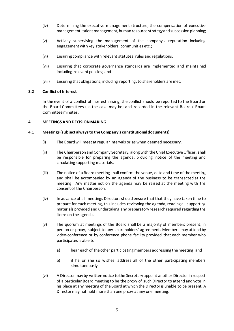- (iv) Determining the executive management structure, the compensation of executive management, talent management, human resource strategy and succession planning;
- (v) Actively supervising the management of the company's reputation including engagement with key stakeholders, communities etc.;
- (vi) Ensuring compliance with relevant statutes, rules and regulations;
- (vii) Ensuring that corporate governance standards are implemented and maintained including relevant policies; and
- (viii) Ensuring that obligations, including reporting, to shareholders are met.

### **3.2 Conflict of Interest**

In the event of a conflict of interest arising, the conflict should be reported to the Board or the Board Committees (as the case may be) and recorded in the relevant Board / Board Committee minutes.

### **4. MEETINGS AND DECISION MAKING**

### **4.1 Meetings (subject always to the Company's constitutional documents)**

- (i) The Board will meet at regular intervals or as when deemed necessary.
- (ii) The Chairperson and Company Secretary, along with the Chief Executive Officer, shall be responsible for preparing the agenda, providing notice of the meeting and circulating supporting materials.
- (iii) The notice of a Board meeting shall confirm the venue, date and time of the meeting and shall be accompanied by an agenda of the business to be transacted at the meeting. Any matter not on the agenda may be raised at the meeting with the consent of the Chairperson.
- (iv) In advance of all meetings Directors should ensure that that they have taken time to prepare for each meeting, this includes reviewing the agenda, reading all supporting materials provided and undertaking any preparatory research required regarding the items on the agenda.
- (v) The quorum at meetings of the Board shall be a majority of members present, in person or proxy, subject to any shareholders' agreement. Members may attend by video-conference or by conference phone facility provided that each member who participates is able to:
	- a) hear each of the other participating members addressing the meeting; and
	- b) if he or she so wishes, address all of the other participating members simultaneously.
- (vi) A Director may by written notice to the Secretary appoint another Director in respect of a particular Board meeting to be the proxy of such Director to attend and vote in his place at any meeting of the Board at which the Director is unable to be present. A Director may not hold more than one proxy at any one meeting.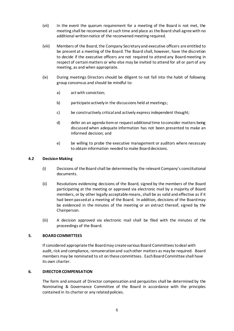- (vii) In the event the quorum requirement for a meeting of the Board is not met, the meeting shall be reconvened at such time and place as the Board shall agree with no additional written notice of the reconvened meeting required.
- (viii) Members of the Board, the Company Secretary and executive officers are entitled to be present at a meeting of the Board. The Board shall, however, have the discretion to decide if the executive officers are not required to attend any Board meeting in respect of certain matters or who else may be invited to attend for all or part of any meeting, as and when appropriate.
- (ix) During meetings Directors should be diligent to not fall into the habit of following group consensus and should be mindful to:
	- a) act with conviction;
	- b) participate actively in the discussions held at meetings;
	- c) be constructively critical and actively express independent thought;
	- d) defer on an agenda item or request additional time to consider matters being discussed when adequate information has not been presented to make an informed decision; and
	- e) be willing to probe the executive management or auditors where necessary to obtain information needed to make Board decisions.

#### **4.2 Decision Making**

- (i) Decisions of the Board shall be determined by the relevant Company's constitutional documents.
- (ii) Resolutions evidencing decisions of the Board, signed by the members of the Board participating at the meeting or approved via electronic mail by a majority of Board members, or by other legally acceptable means, shall be as valid and effective as if it had been passed at a meeting of the Board. In addition, decisions of the Board may be evidenced in the minutes of the meeting or an extract thereof, signed by the Chairperson.
- (iii) A decision approved via electronic mail shall be filed with the minutes of the proceedings of the Board.

### **5. BOARD COMMITTEES**

If considered appropriate the Board may create various Board Committees to deal with audit, risk and compliance, remuneration and such other matters as may be required. Board members may be nominated to sit on these committees. Each Board Committee shall have its own charter.

#### **6. DIRECTOR COMPENSATION**

The form and amount of Director compensation and perquisites shall be determined by the Nominating & Governance Committee of the Board in accordance with the principles contained in its charter or any related policies.